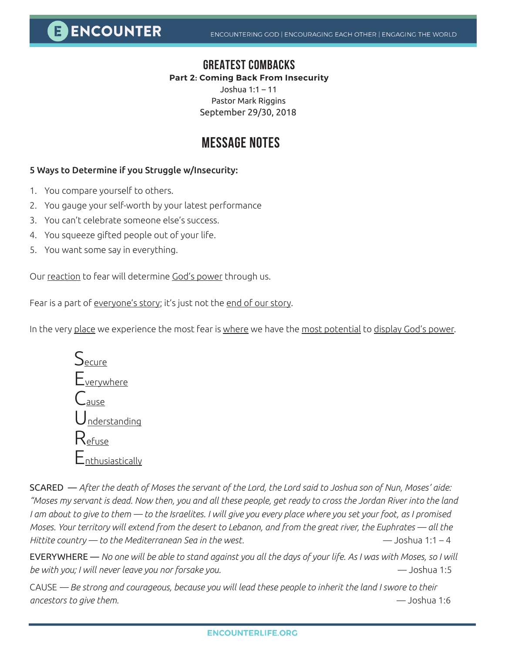E ENCOUNTER

### **GREATEST COMBACKS**

#### **Part 2: Coming Back From Insecurity**

Joshua 1:1 – 11 Pastor Mark Riggins September 29/30, 2018

## **MESSAGE NOTES**

#### 5 Ways to Determine if you Struggle w/Insecurity:

- 1. You compare yourself to others.
- 2. You gauge your self-worth by your latest performance
- 3. You can't celebrate someone else's success.
- 4. You squeeze gifted people out of your life.
- 5. You want some say in everything.

Our reaction to fear will determine God's power through us.

Fear is a part of <u>everyone's story</u>; it's just not the end of our story.

In the very place we experience the most fear is where we have the most potential to display God's power.

| $\mathcal{\mathcal{S}}_{\underline{\mathsf{ecure}}}$ |
|------------------------------------------------------|
| $E_{\text{verywhere}}$                               |
| Lau <u>se</u>                                        |
| <u>Understanding</u>                                 |
| $\mathsf{R}$ efuse                                   |
| $\mathsf{L}_{\text{nthusiastically}}$                |
|                                                      |

SCARED — *After the death of Moses the servant of the Lord, the Lord said to Joshua son of Nun, Moses' aide: "Moses my servant is dead. Now then, you and all these people, get ready to cross the Jordan River into the land I am about to give to them — to the Israelites. I will give you every place where you set your foot, as I promised Moses. Your territory will extend from the desert to Lebanon, and from the great river, the Euphrates — all the Hittite country — to the Mediterranean Sea in the west.* — Joshua 1:1 – 4

EVERYWHERE — *No one will be able to stand against you all the days of your life. As I was with Moses, so I will be with you; I will never leave you nor forsake you.* — Joshua 1:5

CAUSE *— Be strong and courageous, because you will lead these people to inherit the land I swore to their ancestors to give them.* — Joshua 1:6